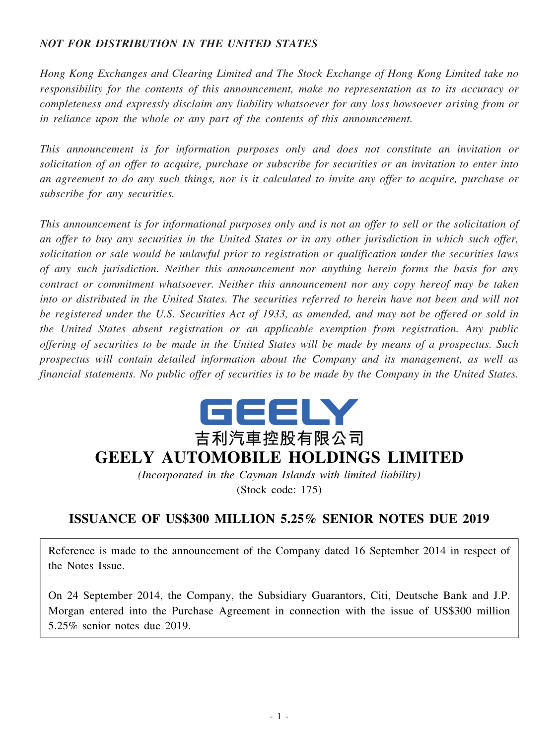# *NOT FOR DISTRIBUTION IN THE UNITED STATES*

*Hong Kong Exchanges and Clearing Limited and The Stock Exchange of Hong Kong Limited take no responsibility for the contents of this announcement, make no representation as to its accuracy or completeness and expressly disclaim any liability whatsoever for any loss howsoever arising from or in reliance upon the whole or any part of the contents of this announcement.*

*This announcement is for information purposes only and does not constitute an invitation or solicitation of an offer to acquire, purchase or subscribe for securities or an invitation to enter into* an agreement to do any such things, nor is it calculated to invite any offer to acquire, purchase or *subscribe for any securities.*

This announcement is for informational purposes only and is not an offer to sell or the solicitation of an offer to buy any securities in the United States or in any other jurisdiction in which such offer, *solicitation or sale would be unlawful prior to registration or qualification under the securities laws of any such jurisdiction. Neither this announcement nor anything herein forms the basis for any contract or commitment whatsoever. Neither this announcement nor any copy hereof may be taken* into or distributed in the United States. The securities referred to herein have not been and will not be registered under the U.S. Securities Act of 1933, as amended, and may not be offered or sold in *the United States absent registration or an applicable exemption from registration. Any public* offering of securities to be made in the United States will be made by means of a prospectus. Such *prospectus will contain detailed information about the Company and its management, as well as* financial statements. No public offer of securities is to be made by the Company in the United States.



# **吉利汽車控股有限公司 GEELY AUTOMOBILE HOLDINGS LIMITED**

*(Incorporated in the Cayman Islands with limited liability)* (Stock code: 175)

# **ISSUANCE OF US\$300 MILLION 5.25% SENIOR NOTES DUE 2019**

Reference is made to the announcement of the Company dated 16 September 2014 in respect of the Notes Issue.

On 24 September 2014, the Company, the Subsidiary Guarantors, Citi, Deutsche Bank and J.P. Morgan entered into the Purchase Agreement in connection with the issue of US\$300 million 5.25% senior notes due 2019.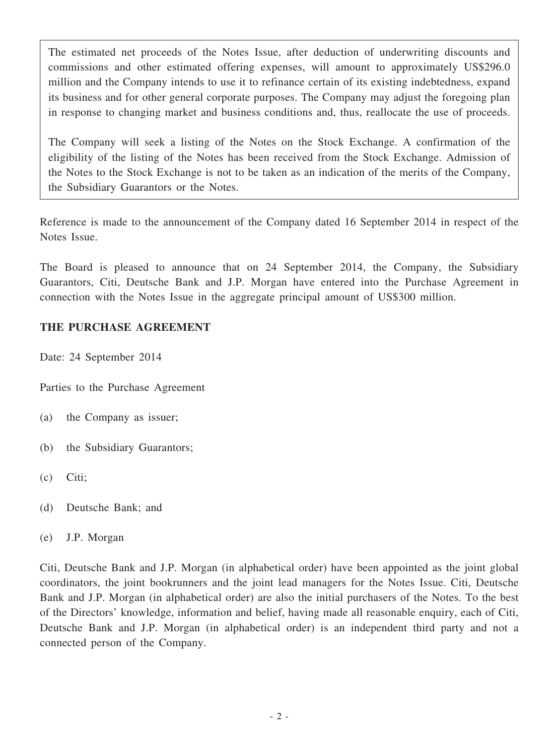The estimated net proceeds of the Notes Issue, after deduction of underwriting discounts and commissions and other estimated offering expenses, will amount to approximately US\$296.0 million and the Company intends to use it to refinance certain of its existing indebtedness, expand its business and for other general corporate purposes. The Company may adjust the foregoing plan in response to changing market and business conditions and, thus, reallocate the use of proceeds.

The Company will seek a listing of the Notes on the Stock Exchange. A confirmation of the eligibility of the listing of the Notes has been received from the Stock Exchange. Admission of the Notes to the Stock Exchange is not to be taken as an indication of the merits of the Company, the Subsidiary Guarantors or the Notes.

Reference is made to the announcement of the Company dated 16 September 2014 in respect of the Notes Issue.

The Board is pleased to announce that on 24 September 2014, the Company, the Subsidiary Guarantors, Citi, Deutsche Bank and J.P. Morgan have entered into the Purchase Agreement in connection with the Notes Issue in the aggregate principal amount of US\$300 million.

# **THE PURCHASE AGREEMENT**

Date: 24 September 2014

Parties to the Purchase Agreement

- (a) the Company as issuer;
- (b) the Subsidiary Guarantors;
- (c) Citi;
- (d) Deutsche Bank; and
- (e) J.P. Morgan

Citi, Deutsche Bank and J.P. Morgan (in alphabetical order) have been appointed as the joint global coordinators, the joint bookrunners and the joint lead managers for the Notes Issue. Citi, Deutsche Bank and J.P. Morgan (in alphabetical order) are also the initial purchasers of the Notes. To the best of the Directors' knowledge, information and belief, having made all reasonable enquiry, each of Citi, Deutsche Bank and J.P. Morgan (in alphabetical order) is an independent third party and not a connected person of the Company.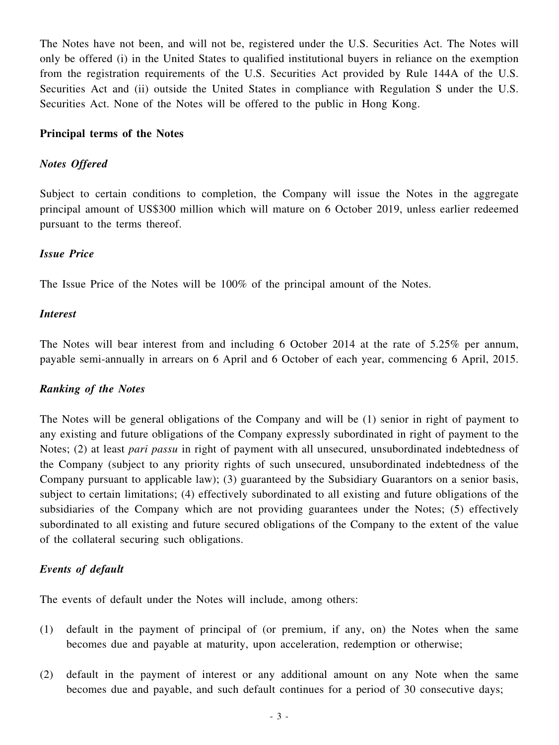The Notes have not been, and will not be, registered under the U.S. Securities Act. The Notes will only be offered (i) in the United States to qualified institutional buyers in reliance on the exemption from the registration requirements of the U.S. Securities Act provided by Rule 144A of the U.S. Securities Act and (ii) outside the United States in compliance with Regulation S under the U.S. Securities Act. None of the Notes will be offered to the public in Hong Kong.

### **Principal terms of the Notes**

#### *Notes Offered*

Subject to certain conditions to completion, the Company will issue the Notes in the aggregate principal amount of US\$300 million which will mature on 6 October 2019, unless earlier redeemed pursuant to the terms thereof.

#### *Issue Price*

The Issue Price of the Notes will be 100% of the principal amount of the Notes.

#### *Interest*

The Notes will bear interest from and including 6 October 2014 at the rate of 5.25% per annum, payable semi-annually in arrears on 6 April and 6 October of each year, commencing 6 April, 2015.

#### *Ranking of the Notes*

The Notes will be general obligations of the Company and will be (1) senior in right of payment to any existing and future obligations of the Company expressly subordinated in right of payment to the Notes; (2) at least *pari passu* in right of payment with all unsecured, unsubordinated indebtedness of the Company (subject to any priority rights of such unsecured, unsubordinated indebtedness of the Company pursuant to applicable law); (3) guaranteed by the Subsidiary Guarantors on a senior basis, subject to certain limitations; (4) effectively subordinated to all existing and future obligations of the subsidiaries of the Company which are not providing guarantees under the Notes; (5) effectively subordinated to all existing and future secured obligations of the Company to the extent of the value of the collateral securing such obligations.

#### *Events of default*

The events of default under the Notes will include, among others:

- (1) default in the payment of principal of (or premium, if any, on) the Notes when the same becomes due and payable at maturity, upon acceleration, redemption or otherwise;
- (2) default in the payment of interest or any additional amount on any Note when the same becomes due and payable, and such default continues for a period of 30 consecutive days;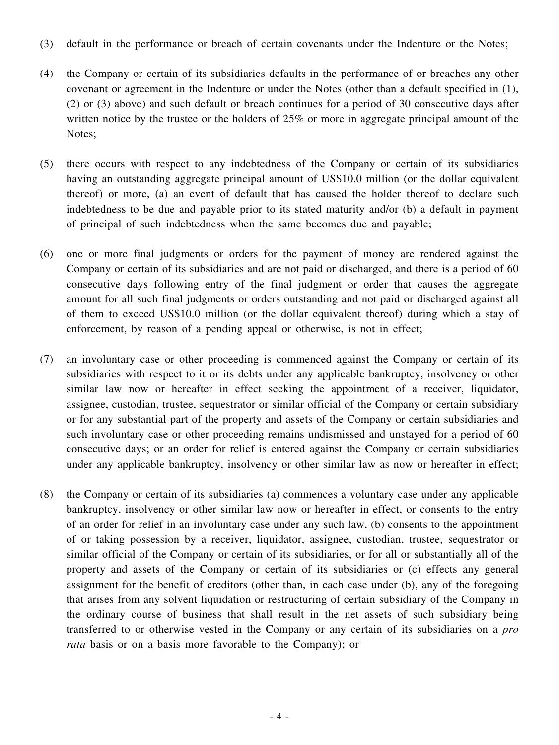- (3) default in the performance or breach of certain covenants under the Indenture or the Notes;
- (4) the Company or certain of its subsidiaries defaults in the performance of or breaches any other covenant or agreement in the Indenture or under the Notes (other than a default specified in (1), (2) or (3) above) and such default or breach continues for a period of 30 consecutive days after written notice by the trustee or the holders of 25% or more in aggregate principal amount of the Notes;
- (5) there occurs with respect to any indebtedness of the Company or certain of its subsidiaries having an outstanding aggregate principal amount of US\$10.0 million (or the dollar equivalent thereof) or more, (a) an event of default that has caused the holder thereof to declare such indebtedness to be due and payable prior to its stated maturity and/or (b) a default in payment of principal of such indebtedness when the same becomes due and payable;
- (6) one or more final judgments or orders for the payment of money are rendered against the Company or certain of its subsidiaries and are not paid or discharged, and there is a period of 60 consecutive days following entry of the final judgment or order that causes the aggregate amount for all such final judgments or orders outstanding and not paid or discharged against all of them to exceed US\$10.0 million (or the dollar equivalent thereof) during which a stay of enforcement, by reason of a pending appeal or otherwise, is not in effect;
- (7) an involuntary case or other proceeding is commenced against the Company or certain of its subsidiaries with respect to it or its debts under any applicable bankruptcy, insolvency or other similar law now or hereafter in effect seeking the appointment of a receiver, liquidator, assignee, custodian, trustee, sequestrator or similar official of the Company or certain subsidiary or for any substantial part of the property and assets of the Company or certain subsidiaries and such involuntary case or other proceeding remains undismissed and unstayed for a period of 60 consecutive days; or an order for relief is entered against the Company or certain subsidiaries under any applicable bankruptcy, insolvency or other similar law as now or hereafter in effect;
- (8) the Company or certain of its subsidiaries (a) commences a voluntary case under any applicable bankruptcy, insolvency or other similar law now or hereafter in effect, or consents to the entry of an order for relief in an involuntary case under any such law, (b) consents to the appointment of or taking possession by a receiver, liquidator, assignee, custodian, trustee, sequestrator or similar official of the Company or certain of its subsidiaries, or for all or substantially all of the property and assets of the Company or certain of its subsidiaries or (c) effects any general assignment for the benefit of creditors (other than, in each case under (b), any of the foregoing that arises from any solvent liquidation or restructuring of certain subsidiary of the Company in the ordinary course of business that shall result in the net assets of such subsidiary being transferred to or otherwise vested in the Company or any certain of its subsidiaries on a *pro rata* basis or on a basis more favorable to the Company); or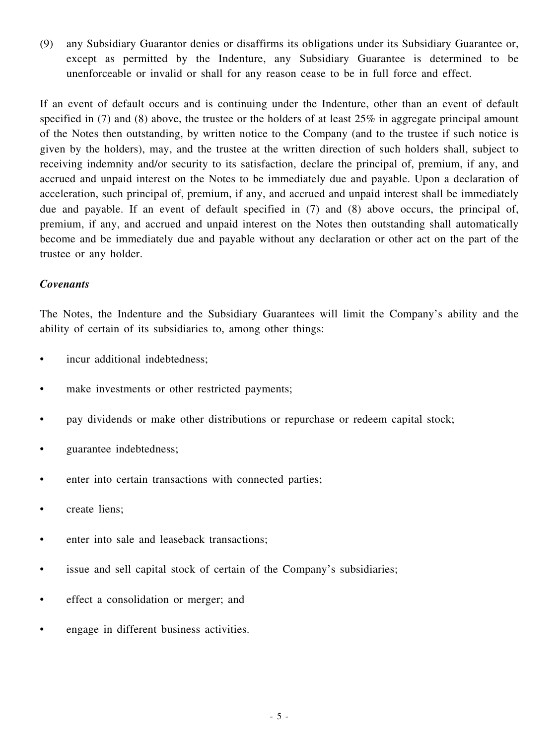(9) any Subsidiary Guarantor denies or disaffirms its obligations under its Subsidiary Guarantee or, except as permitted by the Indenture, any Subsidiary Guarantee is determined to be unenforceable or invalid or shall for any reason cease to be in full force and effect.

If an event of default occurs and is continuing under the Indenture, other than an event of default specified in (7) and (8) above, the trustee or the holders of at least 25% in aggregate principal amount of the Notes then outstanding, by written notice to the Company (and to the trustee if such notice is given by the holders), may, and the trustee at the written direction of such holders shall, subject to receiving indemnity and/or security to its satisfaction, declare the principal of, premium, if any, and accrued and unpaid interest on the Notes to be immediately due and payable. Upon a declaration of acceleration, such principal of, premium, if any, and accrued and unpaid interest shall be immediately due and payable. If an event of default specified in (7) and (8) above occurs, the principal of, premium, if any, and accrued and unpaid interest on the Notes then outstanding shall automatically become and be immediately due and payable without any declaration or other act on the part of the trustee or any holder.

## *Covenants*

The Notes, the Indenture and the Subsidiary Guarantees will limit the Company's ability and the ability of certain of its subsidiaries to, among other things:

- incur additional indebtedness;
- make investments or other restricted payments;
- pay dividends or make other distributions or repurchase or redeem capital stock;
- guarantee indebtedness;
- enter into certain transactions with connected parties;
- create liens;
- enter into sale and leaseback transactions;
- issue and sell capital stock of certain of the Company's subsidiaries;
- effect a consolidation or merger; and
- engage in different business activities.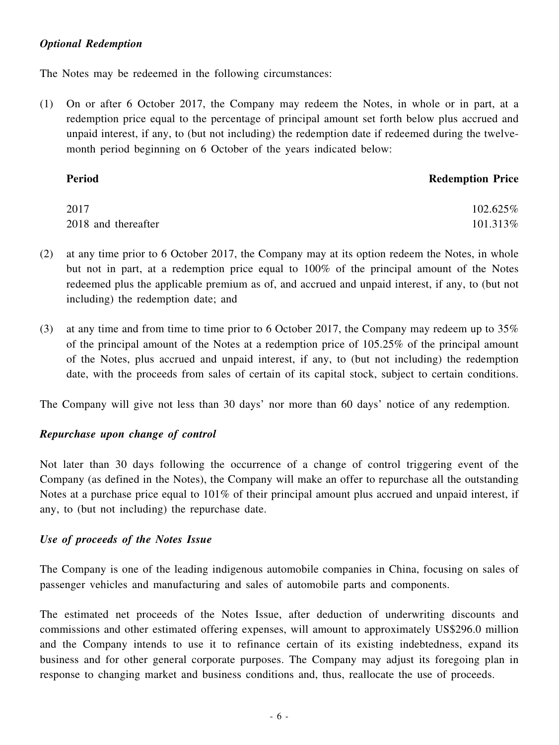## *Optional Redemption*

The Notes may be redeemed in the following circumstances:

(1) On or after 6 October 2017, the Company may redeem the Notes, in whole or in part, at a redemption price equal to the percentage of principal amount set forth below plus accrued and unpaid interest, if any, to (but not including) the redemption date if redeemed during the twelvemonth period beginning on 6 October of the years indicated below:

| Period              | <b>Redemption Price</b> |
|---------------------|-------------------------|
| 2017                | 102.625%                |
| 2018 and thereafter | 101.313%                |

- (2) at any time prior to 6 October 2017, the Company may at its option redeem the Notes, in whole but not in part, at a redemption price equal to 100% of the principal amount of the Notes redeemed plus the applicable premium as of, and accrued and unpaid interest, if any, to (but not including) the redemption date; and
- (3) at any time and from time to time prior to 6 October 2017, the Company may redeem up to 35% of the principal amount of the Notes at a redemption price of 105.25% of the principal amount of the Notes, plus accrued and unpaid interest, if any, to (but not including) the redemption date, with the proceeds from sales of certain of its capital stock, subject to certain conditions.

The Company will give not less than 30 days' nor more than 60 days' notice of any redemption.

## *Repurchase upon change of control*

Not later than 30 days following the occurrence of a change of control triggering event of the Company (as defined in the Notes), the Company will make an offer to repurchase all the outstanding Notes at a purchase price equal to 101% of their principal amount plus accrued and unpaid interest, if any, to (but not including) the repurchase date.

## *Use of proceeds of the Notes Issue*

The Company is one of the leading indigenous automobile companies in China, focusing on sales of passenger vehicles and manufacturing and sales of automobile parts and components.

The estimated net proceeds of the Notes Issue, after deduction of underwriting discounts and commissions and other estimated offering expenses, will amount to approximately US\$296.0 million and the Company intends to use it to refinance certain of its existing indebtedness, expand its business and for other general corporate purposes. The Company may adjust its foregoing plan in response to changing market and business conditions and, thus, reallocate the use of proceeds.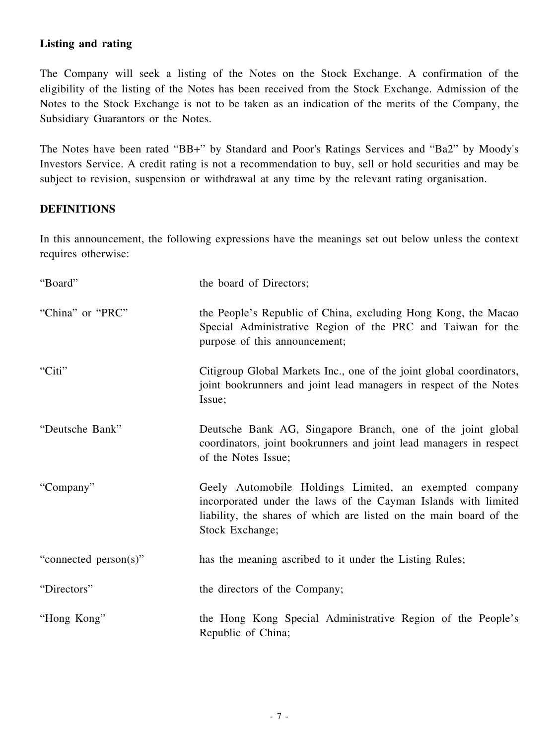# **Listing and rating**

The Company will seek a listing of the Notes on the Stock Exchange. A confirmation of the eligibility of the listing of the Notes has been received from the Stock Exchange. Admission of the Notes to the Stock Exchange is not to be taken as an indication of the merits of the Company, the Subsidiary Guarantors or the Notes.

The Notes have been rated "BB+" by Standard and Poor's Ratings Services and "Ba2" by Moody's Investors Service. A credit rating is not a recommendation to buy, sell or hold securities and may be subject to revision, suspension or withdrawal at any time by the relevant rating organisation.

# **DEFINITIONS**

In this announcement, the following expressions have the meanings set out below unless the context requires otherwise:

| "Board"               | the board of Directors;                                                                                                                                                                                           |
|-----------------------|-------------------------------------------------------------------------------------------------------------------------------------------------------------------------------------------------------------------|
| "China" or "PRC"      | the People's Republic of China, excluding Hong Kong, the Macao<br>Special Administrative Region of the PRC and Taiwan for the<br>purpose of this announcement;                                                    |
| "Citi"                | Citigroup Global Markets Inc., one of the joint global coordinators,<br>joint bookrunners and joint lead managers in respect of the Notes<br>Issue;                                                               |
| "Deutsche Bank"       | Deutsche Bank AG, Singapore Branch, one of the joint global<br>coordinators, joint bookrunners and joint lead managers in respect<br>of the Notes Issue;                                                          |
| "Company"             | Geely Automobile Holdings Limited, an exempted company<br>incorporated under the laws of the Cayman Islands with limited<br>liability, the shares of which are listed on the main board of the<br>Stock Exchange; |
| "connected person(s)" | has the meaning ascribed to it under the Listing Rules;                                                                                                                                                           |
| "Directors"           | the directors of the Company;                                                                                                                                                                                     |
| "Hong Kong"           | the Hong Kong Special Administrative Region of the People's<br>Republic of China;                                                                                                                                 |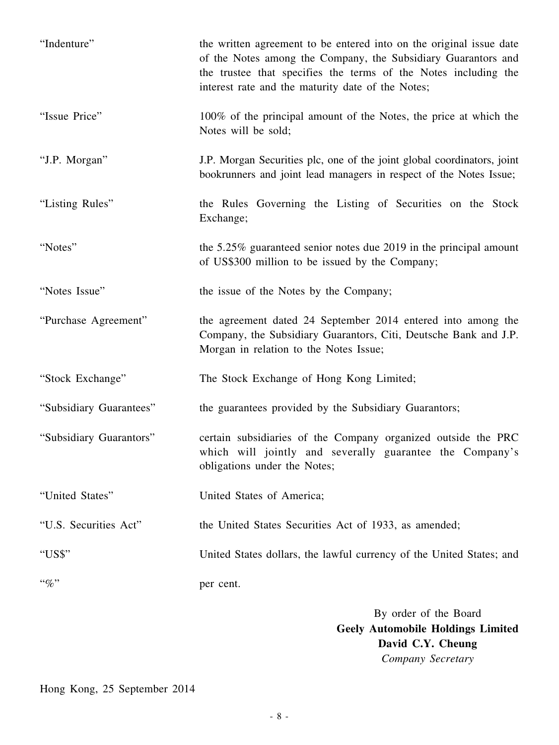| "Indenture"             | the written agreement to be entered into on the original issue date<br>of the Notes among the Company, the Subsidiary Guarantors and<br>the trustee that specifies the terms of the Notes including the<br>interest rate and the maturity date of the Notes; |
|-------------------------|--------------------------------------------------------------------------------------------------------------------------------------------------------------------------------------------------------------------------------------------------------------|
| "Issue Price"           | 100% of the principal amount of the Notes, the price at which the<br>Notes will be sold;                                                                                                                                                                     |
| "J.P. Morgan"           | J.P. Morgan Securities plc, one of the joint global coordinators, joint<br>bookrunners and joint lead managers in respect of the Notes Issue;                                                                                                                |
| "Listing Rules"         | the Rules Governing the Listing of Securities on the Stock<br>Exchange;                                                                                                                                                                                      |
| "Notes"                 | the $5.25\%$ guaranteed senior notes due 2019 in the principal amount<br>of US\$300 million to be issued by the Company;                                                                                                                                     |
| "Notes Issue"           | the issue of the Notes by the Company;                                                                                                                                                                                                                       |
| "Purchase Agreement"    | the agreement dated 24 September 2014 entered into among the<br>Company, the Subsidiary Guarantors, Citi, Deutsche Bank and J.P.<br>Morgan in relation to the Notes Issue;                                                                                   |
| "Stock Exchange"        | The Stock Exchange of Hong Kong Limited;                                                                                                                                                                                                                     |
| "Subsidiary Guarantees" | the guarantees provided by the Subsidiary Guarantors;                                                                                                                                                                                                        |
| "Subsidiary Guarantors" | certain subsidiaries of the Company organized outside the PRC<br>which will jointly and severally guarantee the Company's<br>obligations under the Notes;                                                                                                    |
| "United States"         | United States of America;                                                                                                                                                                                                                                    |
| "U.S. Securities Act"   | the United States Securities Act of 1933, as amended;                                                                                                                                                                                                        |
| "US\$"                  | United States dollars, the lawful currency of the United States; and                                                                                                                                                                                         |
| $``\%"$                 | per cent.                                                                                                                                                                                                                                                    |

By order of the Board **Geely Automobile Holdings Limited David C.Y. Cheung** *Company Secretary*